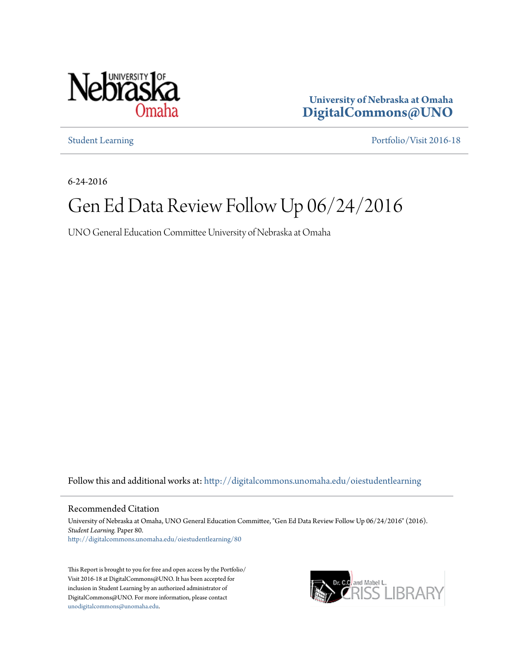

**University of Nebraska at Omaha [DigitalCommons@UNO](http://digitalcommons.unomaha.edu?utm_source=digitalcommons.unomaha.edu%2Foiestudentlearning%2F80&utm_medium=PDF&utm_campaign=PDFCoverPages)**

[Student Learning](http://digitalcommons.unomaha.edu/oiestudentlearning?utm_source=digitalcommons.unomaha.edu%2Foiestudentlearning%2F80&utm_medium=PDF&utm_campaign=PDFCoverPages) [Portfolio/Visit 2016-18](http://digitalcommons.unomaha.edu/oieportfolio?utm_source=digitalcommons.unomaha.edu%2Foiestudentlearning%2F80&utm_medium=PDF&utm_campaign=PDFCoverPages)

6-24-2016

## Gen Ed Data Review Follow Up 06/24/2016

UNO General Education Committee University of Nebraska at Omaha

Follow this and additional works at: [http://digitalcommons.unomaha.edu/oiestudentlearning](http://digitalcommons.unomaha.edu/oiestudentlearning?utm_source=digitalcommons.unomaha.edu%2Foiestudentlearning%2F80&utm_medium=PDF&utm_campaign=PDFCoverPages)

Recommended Citation

University of Nebraska at Omaha, UNO General Education Committee, "Gen Ed Data Review Follow Up 06/24/2016" (2016). *Student Learning.* Paper 80. [http://digitalcommons.unomaha.edu/oiestudentlearning/80](http://digitalcommons.unomaha.edu/oiestudentlearning/80?utm_source=digitalcommons.unomaha.edu%2Foiestudentlearning%2F80&utm_medium=PDF&utm_campaign=PDFCoverPages)

This Report is brought to you for free and open access by the Portfolio/ Visit 2016-18 at DigitalCommons@UNO. It has been accepted for inclusion in Student Learning by an authorized administrator of DigitalCommons@UNO. For more information, please contact [unodigitalcommons@unomaha.edu](mailto:unodigitalcommons@unomaha.edu).